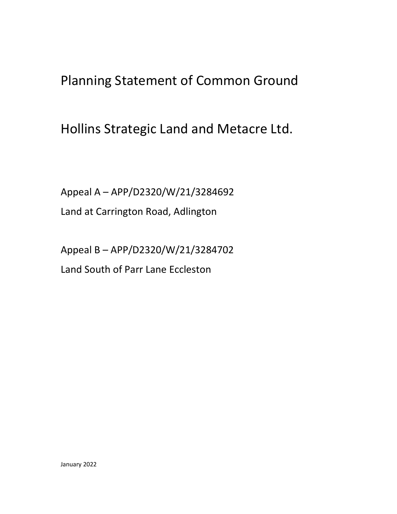Planning Statement of Common Ground

Hollins Strategic Land and Metacre Ltd.

Appeal A – APP/D2320/W/21/3284692 Land at Carrington Road, Adlington

Appeal B – APP/D2320/W/21/3284702 Land South of Parr Lane Eccleston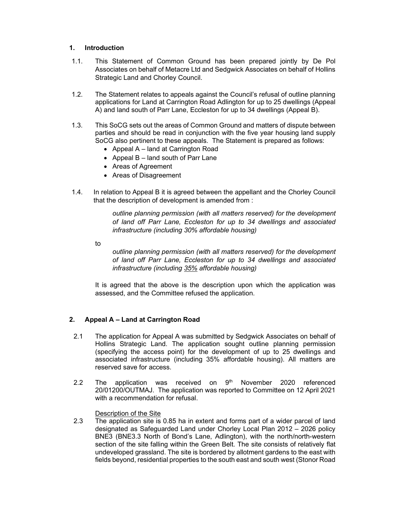## 1. Introduction

- 1.1. This Statement of Common Ground has been prepared jointly by De Pol Associates on behalf of Metacre Ltd and Sedgwick Associates on behalf of Hollins Strategic Land and Chorley Council.
- 1.2. The Statement relates to appeals against the Council's refusal of outline planning applications for Land at Carrington Road Adlington for up to 25 dwellings (Appeal A) and land south of Parr Lane, Eccleston for up to 34 dwellings (Appeal B).
- 1.3. This SoCG sets out the areas of Common Ground and matters of dispute between parties and should be read in conjunction with the five year housing land supply SoCG also pertinent to these appeals. The Statement is prepared as follows:
	- Appeal A land at Carrington Road
	- Appeal  $B -$  land south of Parr Lane
	- Areas of Agreement
	- Areas of Disagreement
- 1.4. In relation to Appeal B it is agreed between the appellant and the Chorley Council that the description of development is amended from :

outline planning permission (with all matters reserved) for the development of land off Parr Lane, Eccleston for up to 34 dwellings and associated infrastructure (including 30% affordable housing)

to

outline planning permission (with all matters reserved) for the development of land off Parr Lane, Eccleston for up to 34 dwellings and associated infrastructure (including 35% affordable housing)

It is agreed that the above is the description upon which the application was assessed, and the Committee refused the application.

# 2. Appeal A – Land at Carrington Road

- 2.1 The application for Appeal A was submitted by Sedgwick Associates on behalf of Hollins Strategic Land. The application sought outline planning permission (specifying the access point) for the development of up to 25 dwellings and associated infrastructure (including 35% affordable housing). All matters are reserved save for access.
- 2.2 The application was received on  $9<sup>th</sup>$  November 2020 referenced 20/01200/OUTMAJ. The application was reported to Committee on 12 April 2021 with a recommendation for refusal.

## Description of the Site

2.3 The application site is 0.85 ha in extent and forms part of a wider parcel of land designated as Safeguarded Land under Chorley Local Plan 2012 – 2026 policy BNE3 (BNE3.3 North of Bond's Lane, Adlington), with the north/north-western section of the site falling within the Green Belt. The site consists of relatively flat undeveloped grassland. The site is bordered by allotment gardens to the east with fields beyond, residential properties to the south east and south west (Stonor Road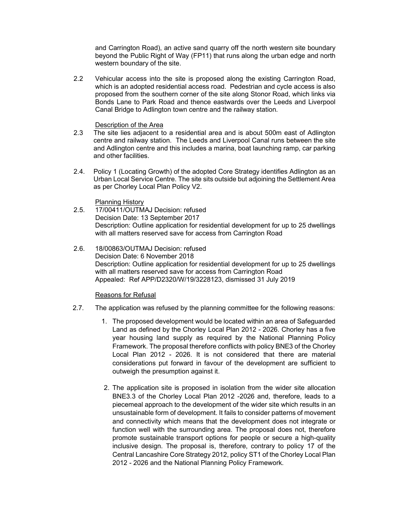and Carrington Road), an active sand quarry off the north western site boundary beyond the Public Right of Way (FP11) that runs along the urban edge and north western boundary of the site.

2.2 Vehicular access into the site is proposed along the existing Carrington Road, which is an adopted residential access road. Pedestrian and cycle access is also proposed from the southern corner of the site along Stonor Road, which links via Bonds Lane to Park Road and thence eastwards over the Leeds and Liverpool Canal Bridge to Adlington town centre and the railway station.

#### Description of the Area

- 2.3 The site lies adjacent to a residential area and is about 500m east of Adlington centre and railway station. The Leeds and Liverpool Canal runs between the site and Adlington centre and this includes a marina, boat launching ramp, car parking and other facilities.
- 2.4. Policy 1 (Locating Growth) of the adopted Core Strategy identifies Adlington as an Urban Local Service Centre. The site sits outside but adjoining the Settlement Area as per Chorley Local Plan Policy V2.

Planning History

- 2.5. 17/00411/OUTMAJ Decision: refused Decision Date: 13 September 2017 Description: Outline application for residential development for up to 25 dwellings with all matters reserved save for access from Carrington Road
- 2.6. 18/00863/OUTMAJ Decision: refused Decision Date: 6 November 2018 Description: Outline application for residential development for up to 25 dwellings with all matters reserved save for access from Carrington Road Appealed: Ref APP/D2320/W/19/3228123, dismissed 31 July 2019

Reasons for Refusal

- 2.7. The application was refused by the planning committee for the following reasons:
	- 1. The proposed development would be located within an area of Safeguarded Land as defined by the Chorley Local Plan 2012 - 2026. Chorley has a five year housing land supply as required by the National Planning Policy Framework. The proposal therefore conflicts with policy BNE3 of the Chorley Local Plan 2012 - 2026. It is not considered that there are material considerations put forward in favour of the development are sufficient to outweigh the presumption against it.
	- 2. The application site is proposed in isolation from the wider site allocation BNE3.3 of the Chorley Local Plan 2012 -2026 and, therefore, leads to a piecemeal approach to the development of the wider site which results in an unsustainable form of development. It fails to consider patterns of movement and connectivity which means that the development does not integrate or function well with the surrounding area. The proposal does not, therefore promote sustainable transport options for people or secure a high-quality inclusive design. The proposal is, therefore, contrary to policy 17 of the Central Lancashire Core Strategy 2012, policy ST1 of the Chorley Local Plan 2012 - 2026 and the National Planning Policy Framework.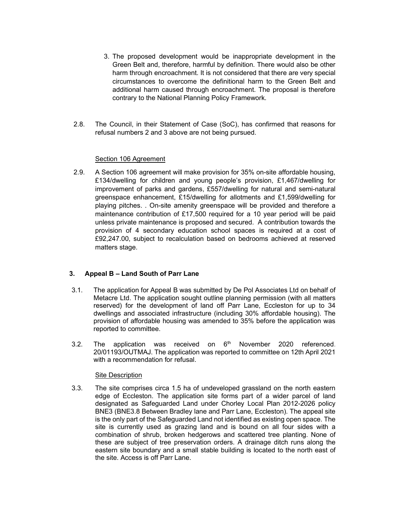- 3. The proposed development would be inappropriate development in the Green Belt and, therefore, harmful by definition. There would also be other harm through encroachment. It is not considered that there are very special circumstances to overcome the definitional harm to the Green Belt and additional harm caused through encroachment. The proposal is therefore contrary to the National Planning Policy Framework.
- 2.8. The Council, in their Statement of Case (SoC), has confirmed that reasons for refusal numbers 2 and 3 above are not being pursued.

### Section 106 Agreement

2.9. A Section 106 agreement will make provision for 35% on-site affordable housing, £134/dwelling for children and young people's provision, £1,467/dwelling for improvement of parks and gardens, £557/dwelling for natural and semi-natural greenspace enhancement, £15/dwelling for allotments and £1,599/dwelling for playing pitches. . On-site amenity greenspace will be provided and therefore a maintenance contribution of £17,500 required for a 10 year period will be paid unless private maintenance is proposed and secured. A contribution towards the provision of 4 secondary education school spaces is required at a cost of £92,247.00, subject to recalculation based on bedrooms achieved at reserved matters stage.

## 3. Appeal B – Land South of Parr Lane

- 3.1. The application for Appeal B was submitted by De Pol Associates Ltd on behalf of Metacre Ltd. The application sought outline planning permission (with all matters reserved) for the development of land off Parr Lane, Eccleston for up to 34 dwellings and associated infrastructure (including 30% affordable housing). The provision of affordable housing was amended to 35% before the application was reported to committee.
- 3.2. The application was received on  $6<sup>th</sup>$  November 2020 referenced. 20/01193/OUTMAJ. The application was reported to committee on 12th April 2021 with a recommendation for refusal.

#### Site Description

3.3. The site comprises circa 1.5 ha of undeveloped grassland on the north eastern edge of Eccleston. The application site forms part of a wider parcel of land designated as Safeguarded Land under Chorley Local Plan 2012-2026 policy BNE3 (BNE3.8 Between Bradley lane and Parr Lane, Eccleston). The appeal site is the only part of the Safeguarded Land not identified as existing open space. The site is currently used as grazing land and is bound on all four sides with a combination of shrub, broken hedgerows and scattered tree planting. None of these are subject of tree preservation orders. A drainage ditch runs along the eastern site boundary and a small stable building is located to the north east of the site. Access is off Parr Lane.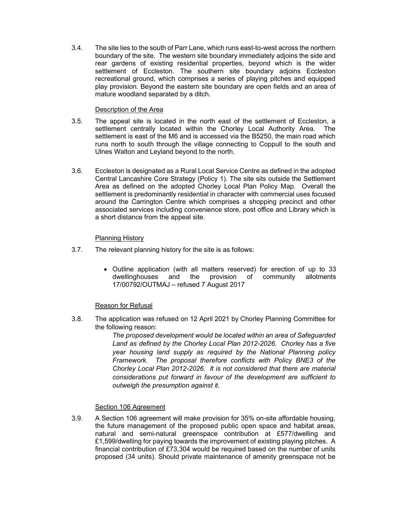3.4. The site lies to the south of Parr Lane, which runs east-to-west across the northern boundary of the site. The western site boundary immediately adjoins the side and rear gardens of existing residential properties, beyond which is the wider settlement of Eccleston. The southern site boundary adjoins Eccleston recreational ground, which comprises a series of playing pitches and equipped play provision. Beyond the eastern site boundary are open fields and an area of mature woodland separated by a ditch.

### Description of the Area

- 3.5. The appeal site is located in the north east of the settlement of Eccleston, a settlement centrally located within the Chorley Local Authority Area. The settlement is east of the M6 and is accessed via the B5250, the main road which runs north to south through the village connecting to Coppull to the south and Ulnes Walton and Leyland beyond to the north.
- 3.6. Eccleston is designated as a Rural Local Service Centre as defined in the adopted Central Lancashire Core Strategy (Policy 1). The site sits outside the Settlement Area as defined on the adopted Chorley Local Plan Policy Map. Overall the settlement is predominantly residential in character with commercial uses focused around the Carrington Centre which comprises a shopping precinct and other associated services including convenience store, post office and Library which is a short distance from the appeal site.

### Planning History

- 3.7. The relevant planning history for the site is as follows:
	- Outline application (with all matters reserved) for erection of up to 33 dwellinghouses and the provision of community allotments 17/00792/OUTMAJ – refused 7 August 2017

## Reason for Refusal

3.8. The application was refused on 12 April 2021 by Chorley Planning Committee for the following reason:

> The proposed development would be located within an area of Safeguarded Land as defined by the Chorley Local Plan 2012-2026. Chorley has a five year housing land supply as required by the National Planning policy Framework. The proposal therefore conflicts with Policy BNE3 of the Chorley Local Plan 2012-2026. It is not considered that there are material considerations put forward in favour of the development are sufficient to outweigh the presumption against it.

## Section 106 Agreement

3.9. A Section 106 agreement will make provision for 35% on-site affordable housing, the future management of the proposed public open space and habitat areas, natural and semi-natural greenspace contribution at £577/dwelling and £1,599/dwelling for paying towards the improvement of existing playing pitches. A financial contribution of £73,304 would be required based on the number of units proposed (34 units). Should private maintenance of amenity greenspace not be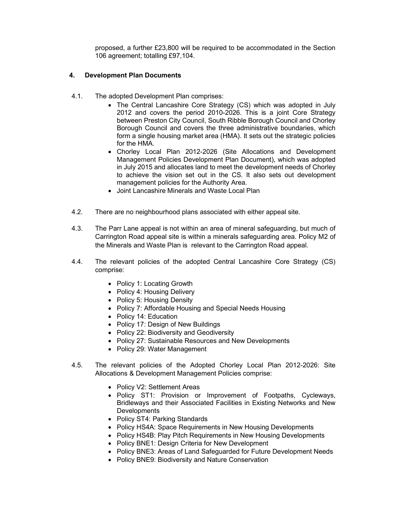proposed, a further £23,800 will be required to be accommodated in the Section 106 agreement; totalling £97,104.

### 4. Development Plan Documents

- 4.1. The adopted Development Plan comprises:
	- The Central Lancashire Core Strategy (CS) which was adopted in July 2012 and covers the period 2010-2026. This is a joint Core Strategy between Preston City Council, South Ribble Borough Council and Chorley Borough Council and covers the three administrative boundaries, which form a single housing market area (HMA). It sets out the strategic policies for the HMA.
	- Chorley Local Plan 2012-2026 (Site Allocations and Development Management Policies Development Plan Document), which was adopted in July 2015 and allocates land to meet the development needs of Chorley to achieve the vision set out in the CS. It also sets out development management policies for the Authority Area.
	- Joint Lancashire Minerals and Waste Local Plan
- 4.2. There are no neighbourhood plans associated with either appeal site.
- 4.3. The Parr Lane appeal is not within an area of mineral safeguarding, but much of Carrington Road appeal site is within a minerals safeguarding area. Policy M2 of the Minerals and Waste Plan is relevant to the Carrington Road appeal.
- 4.4. The relevant policies of the adopted Central Lancashire Core Strategy (CS) comprise:
	- Policy 1: Locating Growth
	- Policy 4: Housing Delivery
	- Policy 5: Housing Density
	- Policy 7: Affordable Housing and Special Needs Housing
	- Policy 14: Education
	- Policy 17: Design of New Buildings
	- Policy 22: Biodiversity and Geodiversity
	- Policy 27: Sustainable Resources and New Developments
	- Policy 29: Water Management
- 4.5. The relevant policies of the Adopted Chorley Local Plan 2012-2026: Site Allocations & Development Management Policies comprise:
	- Policy V2: Settlement Areas
	- Policy ST1: Provision or Improvement of Footpaths, Cycleways, Bridleways and their Associated Facilities in Existing Networks and New **Developments**
	- Policy ST4: Parking Standards
	- Policy HS4A: Space Requirements in New Housing Developments
	- Policy HS4B: Play Pitch Requirements in New Housing Developments
	- Policy BNE1: Design Criteria for New Development
	- Policy BNE3: Areas of Land Safeguarded for Future Development Needs
	- Policy BNE9: Biodiversity and Nature Conservation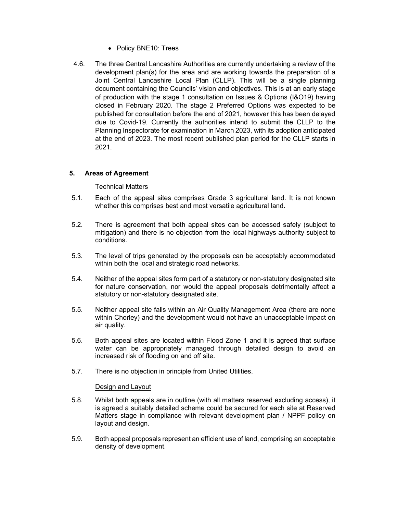- Policy BNE10: Trees
- 4.6. The three Central Lancashire Authorities are currently undertaking a review of the development plan(s) for the area and are working towards the preparation of a Joint Central Lancashire Local Plan (CLLP). This will be a single planning document containing the Councils' vision and objectives. This is at an early stage of production with the stage 1 consultation on Issues & Options (I&O19) having closed in February 2020. The stage 2 Preferred Options was expected to be published for consultation before the end of 2021, however this has been delayed due to Covid-19. Currently the authorities intend to submit the CLLP to the Planning Inspectorate for examination in March 2023, with its adoption anticipated at the end of 2023. The most recent published plan period for the CLLP starts in 2021.

## 5. Areas of Agreement

## Technical Matters

- 5.1. Each of the appeal sites comprises Grade 3 agricultural land. It is not known whether this comprises best and most versatile agricultural land.
- 5.2. There is agreement that both appeal sites can be accessed safely (subject to mitigation) and there is no objection from the local highways authority subject to conditions.
- 5.3. The level of trips generated by the proposals can be acceptably accommodated within both the local and strategic road networks.
- 5.4. Neither of the appeal sites form part of a statutory or non-statutory designated site for nature conservation, nor would the appeal proposals detrimentally affect a statutory or non-statutory designated site.
- 5.5. Neither appeal site falls within an Air Quality Management Area (there are none within Chorley) and the development would not have an unacceptable impact on air quality.
- 5.6. Both appeal sites are located within Flood Zone 1 and it is agreed that surface water can be appropriately managed through detailed design to avoid an increased risk of flooding on and off site.
- 5.7. There is no objection in principle from United Utilities.

#### Design and Layout

- 5.8. Whilst both appeals are in outline (with all matters reserved excluding access), it is agreed a suitably detailed scheme could be secured for each site at Reserved Matters stage in compliance with relevant development plan / NPPF policy on layout and design.
- 5.9. Both appeal proposals represent an efficient use of land, comprising an acceptable density of development.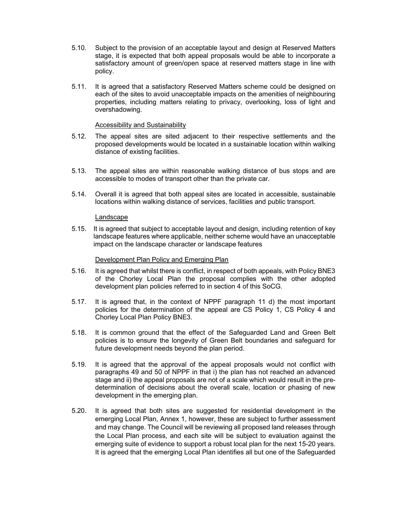- 5.10. Subject to the provision of an acceptable layout and design at Reserved Matters stage, it is expected that both appeal proposals would be able to incorporate a satisfactory amount of green/open space at reserved matters stage in line with policy.
- 5.11. It is agreed that a satisfactory Reserved Matters scheme could be designed on each of the sites to avoid unacceptable impacts on the amenities of neighbouring properties, including matters relating to privacy, overlooking, loss of light and overshadowing.

### **Accessibility and Sustainability**

- 5.12. The appeal sites are sited adjacent to their respective settlements and the proposed developments would be located in a sustainable location within walking distance of existing facilities.
- 5.13. The appeal sites are within reasonable walking distance of bus stops and are accessible to modes of transport other than the private car.
- 5.14. Overall it is agreed that both appeal sites are located in accessible, sustainable locations within walking distance of services, facilities and public transport.

#### Landscape

5.15. It is agreed that subject to acceptable layout and design, including retention of key landscape features where applicable, neither scheme would have an unacceptable impact on the landscape character or landscape features

#### Development Plan Policy and Emerging Plan

- 5.16. It is agreed that whilst there is conflict, in respect of both appeals, with Policy BNE3 of the Chorley Local Plan the proposal complies with the other adopted development plan policies referred to in section 4 of this SoCG.
- 5.17. It is agreed that, in the context of NPPF paragraph 11 d) the most important policies for the determination of the appeal are CS Policy 1, CS Policy 4 and Chorley Local Plan Policy BNE3.
- 5.18. It is common ground that the effect of the Safeguarded Land and Green Belt policies is to ensure the longevity of Green Belt boundaries and safeguard for future development needs beyond the plan period.
- 5.19. It is agreed that the approval of the appeal proposals would not conflict with paragraphs 49 and 50 of NPPF in that i) the plan has not reached an advanced stage and ii) the appeal proposals are not of a scale which would result in the predetermination of decisions about the overall scale, location or phasing of new development in the emerging plan.
- 5.20. It is agreed that both sites are suggested for residential development in the emerging Local Plan, Annex 1, however, these are subject to further assessment and may change. The Council will be reviewing all proposed land releases through the Local Plan process, and each site will be subject to evaluation against the emerging suite of evidence to support a robust local plan for the next 15-20 years. It is agreed that the emerging Local Plan identifies all but one of the Safeguarded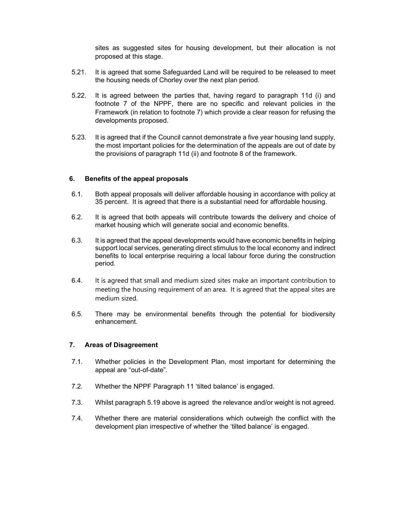sites as suggested sites for housing development, but their allocation is not proposed at this stage.

- 5.21. It is agreed that some Safeguarded Land will be required to be released to meet the housing needs of Chorley over the next plan period.
- 5.22. It is agreed between the parties that, having regard to paragraph 11d (i) and footnote 7 of the NPPF, there are no specific and relevant policies in the Framework (in relation to footnote 7) which provide a clear reason for refusing the developments proposed.
- 5.23. It is agreed that if the Council cannot demonstrate a five year housing land supply, the most important policies for the determination of the appeals are out of date by the provisions of paragraph 11d (ii) and footnote 8 of the framework.

### 6. Benefits of the appeal proposals

- 6.1. Both appeal proposals will deliver affordable housing in accordance with policy at 35 percent. It is agreed that there is a substantial need for affordable housing.
- 6.2. It is agreed that both appeals will contribute towards the delivery and choice of market housing which will generate social and economic benefits.
- 6.3. It is agreed that the appeal developments would have economic benefits in helping support local services, generating direct stimulus to the local economy and indirect benefits to local enterprise requiring a local labour force during the construction period.
- 6.4. It is agreed that small and medium sized sites make an important contribution to meeting the housing requirement of an area. It is agreed that the appeal sites are medium sized.
- 6.5. There may be environmental benefits through the potential for biodiversity enhancement.

#### 7. Areas of Disagreement

- 7.1. Whether policies in the Development Plan, most important for determining the appeal are "out-of-date".
- 7.2. Whether the NPPF Paragraph 11 'tilted balance' is engaged.
- 7.3. Whilst paragraph 5.19 above is agreed the relevance and/or weight is not agreed.
- 7.4. Whether there are material considerations which outweigh the conflict with the development plan irrespective of whether the 'tilted balance' is engaged.